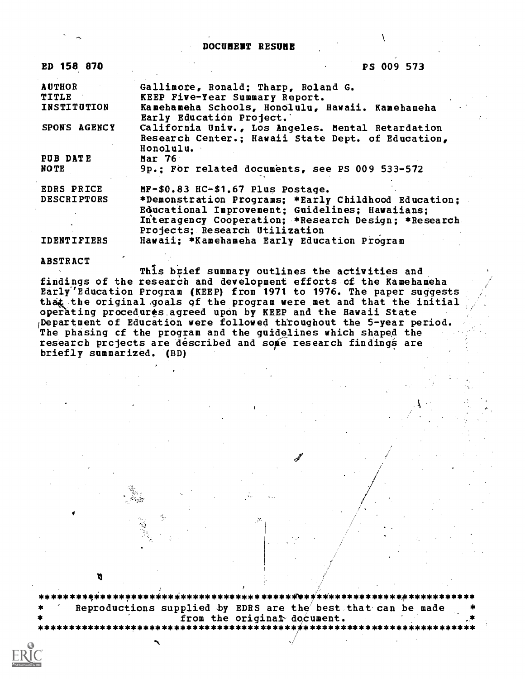DOCUMENT RESUME

| ED 158 870         | PS 009 573                                                                   |
|--------------------|------------------------------------------------------------------------------|
| <b>AUTHOR</b>      | Gallimore, Ronald; Tharp, Roland G.                                          |
| <b>TITLE</b>       | KEEP Five-Year Summary Report.                                               |
| <b>INSTITUTION</b> | Kamehameha Schools, Honolulu, Hawaii. Kamehameha<br>Early Education Project. |
| SPONS AGENCY       | California Univ., Los Angeles. Mental Retardation                            |
|                    | Research Center.; Hawaii State Dept. of Education,<br>Honolulu.              |
| PUB DATE           | Mar $76$                                                                     |
| NOTE               | 9p.: For related documents, see PS 009 533-572                               |
| <b>EDRS PRICE</b>  | $MF-$0.83$ HC-\$1.67 Plus Postage.                                           |
| <b>DESCRIPTORS</b> | *Demonstration Programs: *Early Childhood Education:                         |
|                    | Educational Improvement: Guidelines: Hawaiians:                              |
|                    | Interagency Cooperation; *Research Design; *Research                         |
|                    | Projects; Research Utilization                                               |
| <b>IDENTIFIERS</b> | Hawaii; *Kamehameha Early Education Program                                  |

ABSTRACT

This brief summary outlines the activities and findings of the research and development efforts cf the Kamehameha Early'Education Program (KEEP) from 1971 to 1976. The paper suggests that the original goals of the program were met and that the initial operating procedures agreed upon by KEEP and the Hawaii State (Department of Education were followed throughout the 5-year period. The phasing et the program and the guidelines which shaped the research prcjects are described and some research findings are briefly summarized. (BD)

\*\*\*\*\*\*\*\*4\*\*\*\*\*\*\*\*\*\*\*\*\*i\*\*\*\*\*\*\*\*\*\*\*\*\*\*\*\*\*\*\*\*\*\*/ \*\*\*\*\*\*\*\*\*\*\*\*\*\*\*\*\*\*\*\*\*\*\*\* Reproductions supplied by EDRS are the best that can be made from the original document.

 $\mathcal{A}$  , and the set of the set of the set of the set of the set of the set of the set of the set of the set of the set of the set of the set of the set of the set of the set of the set of the set of the set of the set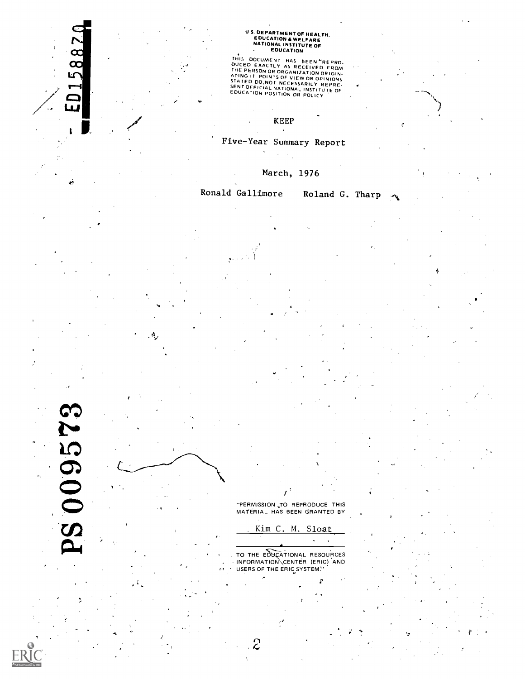# U S. DEPARTMENT OF HEALTH,<br>EDUCATION & WELFARE<br>NATIONAL INSTITUTE OF<br>A EDUCATION

THIS DOCUMENT HAS BEEN "REPRO-<br>DUCED EXACTLY AS RECEIVED FROM<br>THE PERSON OR ORGANIZATION ORIGIN-<br>THE PERSON OR ORGANIZATION ORIGIN-<br>STATED DO.NOT NECESSARILY REPRE-<br>SENT OFFICIAL NATIONAL INSTITUTE OF<br>EDUCATION POSITION OR

KEEP

## Five-Year Summary Report

March, 1976

Ronald Gallimore Roland G. Tharp

S009573

ED15887

**"PERMISSION TO REPRODUCE THIS** MATERIAL HAS BEEN GRANTED BY

 $\boldsymbol{I}$ 

Kim C. M. Sloat

 $\mathcal{L}^{\pm}$  $\ddot{\phantom{a}}$ 

TO THE EDUCATIONAL RESOURCES , INFORMATION CENTER (ERIC) AND USERS OF THE ERIC SYSTEM:

 $\mathcal{Z}$ 

 $p$  is a set of  $p$ 

11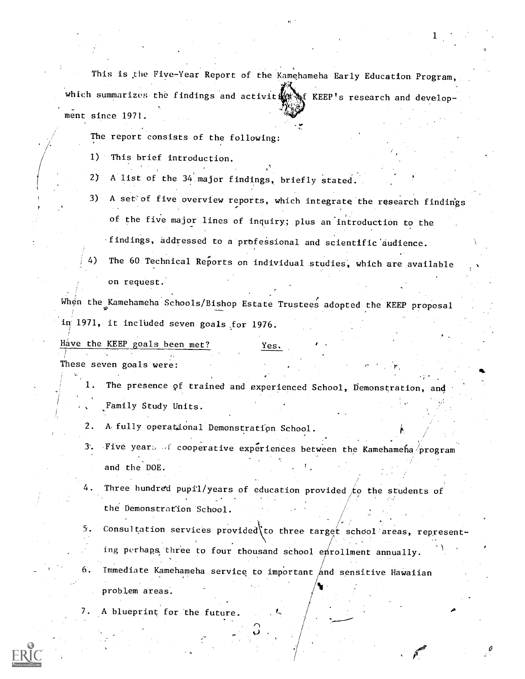This is the Five-Year Report of the Kamehameha Early Education Program, which summarizes the findings and activit KEEP's research and development since 1971.

1

The report consists of the following:

1) This brief introduction.

2) A list of the 34 major findings, briefly stated.

3) A set of five overview reports, which integrate the research findings of the five major lines of inquiry; plus an introduction to the findings, addressed to a professional and scientific'audience.

The 60 Technical Reports on individual studies, which are available on request.'

When the Kamehameha Schools/Bishop Estate Trustees adopted the KEEP proposal in 1971, it included seven goals for 1976.

Have the KEEP goals been met? Yes.

These seven goals were:

- 1. The presence pf trained and experienced School, Demonstration, and Family Study Units.
- 2. A fully operational Demonstration School.
- 3. Five years of cooperative experiences between the Kamehameha program and the DOE.
- 4. Three hundred pupil/years of education provided  $\sharp$ o the students of the Demonstration School.
- 5. Consultation services provided to three target school areas, representing perhaps three to four thousand school enrollment annually.
- 6. Immediate Kamehameha service to important  $\not|$  and sensitive Hawaiian problem areas.
- 7. A blueprint for the future.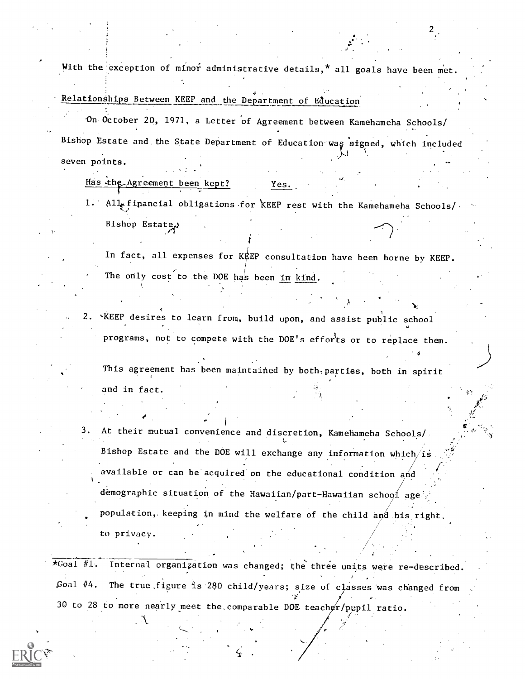With the exception of minor administrative details,\* all goals have been met.

 $\mathcal{L}$  and  $\mathcal{L}$ 

\*

## Relationships Between KEEP and the Department of Education

0n.00tober 20, 1971, a Letter of Agreement between Kamehameha Schools/ Bishop Estate and the State Department of Education was signed, which included seven points.

Has the Agreement been kept? Yes.

 $\mathcal{F}$ 

. A.

1. All financial obligations for KEEP rest with the Kamehameha Schools/ Bishop Estate

In fact, all expenses for KEEP consultation have been borne by KEEP. The only cost to the DOE has been in kind.

\*KEEP desires to learn from, build upon, and assist public school programs, not to compete with the DOE's efforts or to replace them.

This agreement has been maintained by both, parties, both in spirit and in fact.

3. At their mutual convenience and discretion, Kamehameha Schools/, Bishop Estate and the DOE will exchange any information which/is available or can be acquired on the educational condition and demographic situation of the Hawaiian/part-Hawaiian school age population,. keeping in mind the welfare of the child and his right. to privacy.

\*Goal #1. Internal organization was changed; the three units were re- described. Goal  $#4$ . The true figure is 280 child/years; size of classes was changed from 30 to 28 to more nearly meet the comparable DOE teacher/pupil ratio.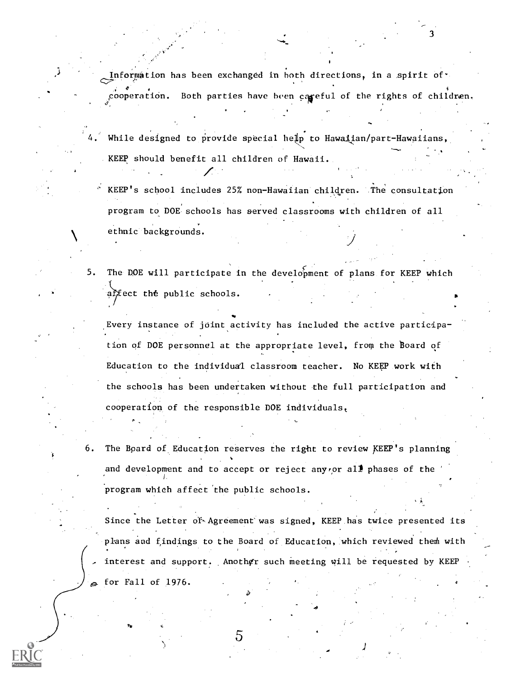Information has been exchanged in both directions, in a spirit of  $\cdot$ cooperation. Both parties have been careful of the rights of children.

3

- While designed to provide special help to Hawalian/part-Hawaiians, . KEEP should benefit all children of Hawaii.
	- ' KEEP's school includes 25% non-Hawaiian children. The consultation program to DOE schools has served classrooms with children of all ethnic backgrounds.  $J_{\rm{max}}$
- 5. The DOE will participate in the development of plans for KEEP which affect the public schools.

ti a controller a controller a controller a controller a controller a controller a controller a controller a c Every instance of joint activity has included the active participation of DOE personnel at the appropriate level, from the board of Education to the individual classroom teacher. No KEEP work with the schools has been undertaken without the full participation and cooperation of the responsible DOE individuals,

6. The Board of Education reserves the right to review KEEP's planning and development and to accept or reject anyror all phases of the program which affect'the public schools.

Since the Letter of Agreement was signed, KEEP has twice presented its plans and findings to the Board of Education, which reviewed them with interest and support. Another such meeting will be requested by KEEP for Fall of 1976.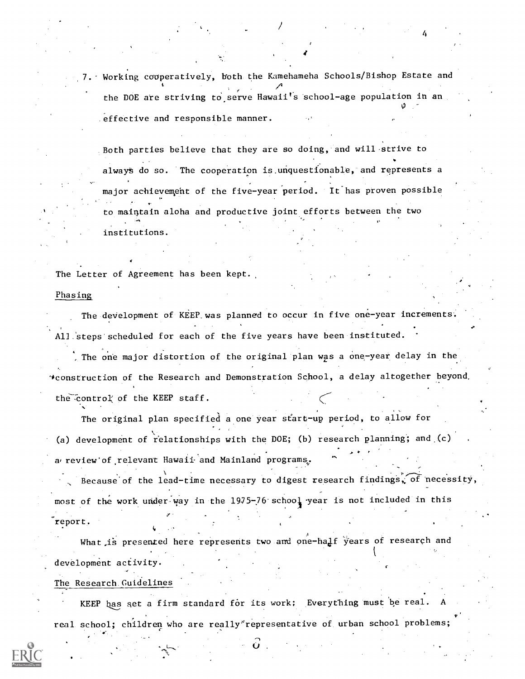7. Working cooperatively, both the Kamehameha Schools/Bishop Estate and the DOE are striving to serve Hawaii's school-age population in an  $\cup$   $\cup$ effective and responsible manner.

4

Both parties believe that they are so doing, and will-strive to always do so. The cooperation is unquestionable, and represents a major achievempht of the five-year period. It has proven possible to maintain aloha and productive joint efforts between the two institutions.

The Letter of Agreement has been kept.

#### Phasing

The development of KEEP was planned to occur in five one-year increments. All steps scheduled for each of the five years have been instituted.

. The one major distortion of the original plan was a one-year delay in the 4construction of the Research and Demonstration School, a delay altogether beyond, the control of the KEEP staff.

The original plan specified a one year start-up period, to allow for (a) development of relationships with the DOE; (b) research planning; and (c) a review of relevant Hawaii and Mainland programs. Because of the lead-time necessary to digest research findings, of necessity,  $\ddot{\phantom{1}}$ most of the work under way in the 1975-76 school year is not included in this report.

What is presented here represents two and one-half years of research and development activity.

The Research. Guidelines

KEEP has set a firm standard for its work; Everything must be real. real school; children who are really\*representative of urban school problems;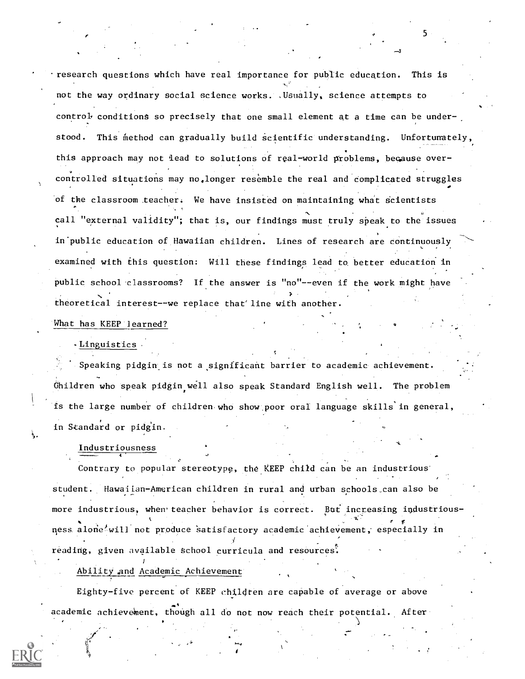research questions which have real importance for public education. This is not the way ordinary social science works. ,Usually, science attempts to control conditions so precisely that one small element at a time can be understood. This method can gradually build scientific understanding. Unfortunately, this approach may not lead to solutions of real-world problems, because overcontrolled situations may no,longer resemble the real and complicated struggles of the classroom teacher. We have insisted on maintaining what scientists call "external validity"; that is, our findings must truly speak to the issues in-public education of Hawaiian children. Lines of research are continuously examined with this question: Will these findings lead to better education in public school classrooms? If the answer is "no"--even if the work might have theoretical interest--we replace that'line with another.

What has KEEP learned?

-Linguistics

Speaking pidgin is not a significant barrier to academic achievement. Ghildren who speak pidgin well also speak Standard English well. The problem is the large number of children who show poor oral language skills in general, in Standard or pidgin.

Industriousness

4

Contrary to popular stereotype, the KEEP child can be an industrious student. Hawaiian American children in rural and urban schools can also be more industrious, when teacher behavior is correct. But increasing industrious- $\bullet$  for a set of the set of the set of the set of the set of the set of the set of the set of the set of the set of the set of the set of the set of the set of the set of the set of the set of the set of the set of the s ness alone will not produce satisfactory academic achievement, especially in reading, given available school curricula and resources:

Abilityand Academic Achievement

Eighty-five percent of KEEP children are capable of average or above academic achievement, though all do not now reach their potential. After

.<br>مارس المراكب المراكب المراكب المراكب المراكب المراكب المراكب المراكب المراكب المراكب المراكب المراكب المراكب<br>المراكب المراكب المراكب المراكب المراكب المراكب المراكب المراكب المراكب المراكب المراكب المراكب المراكب المرا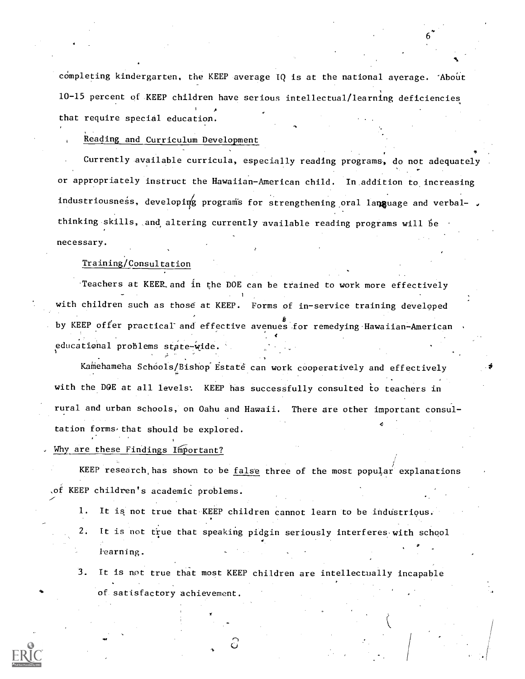completing kindergarten, the KEEP average IQ is at the national average. 'About 10-15 percent of KEEP children have serious intellectual/learning deficiencies that require special education.

### Reading and Curriculum Development

Currently available curricula, especially reading programs, do not adequately or appropriately instruct the Hawaiian-American child. In addition to increasing industriousness, developing programs for strengthening oral language and verbal- . thinking skills, and, altering currently available reading programs will be necessary.

#### Training/Consultation

.Teachers at KEEL and in the DOE can be trained to work more effectively with children such as those at KEEP. Forms of in-service training developed by KEEP offer practical and effective avenues for remedying Hawaiian-American educational problems state-wide.

Kamehameha Schools/Bishop Estate can work cooperatively and effectively with the DOE at all levels: KEEP has successfully consulted to teachers in rural and urban schools, on Oahu and Hawaii. There are other important consul tation forms-that should be explored.

#### Why are these Findings Important?

KEEP research has shown to be false three of the most popular explanations of KEEP children's academic problems.

1. It is not true that KEEP children cannot learn to be industrious.

2. It is not true that speaking pidgin seriously interferes, with school  $\theta$  and  $\theta$ learning.

3. It is not true that most KEEP children are intellectually incapable of satisfactory achievement.